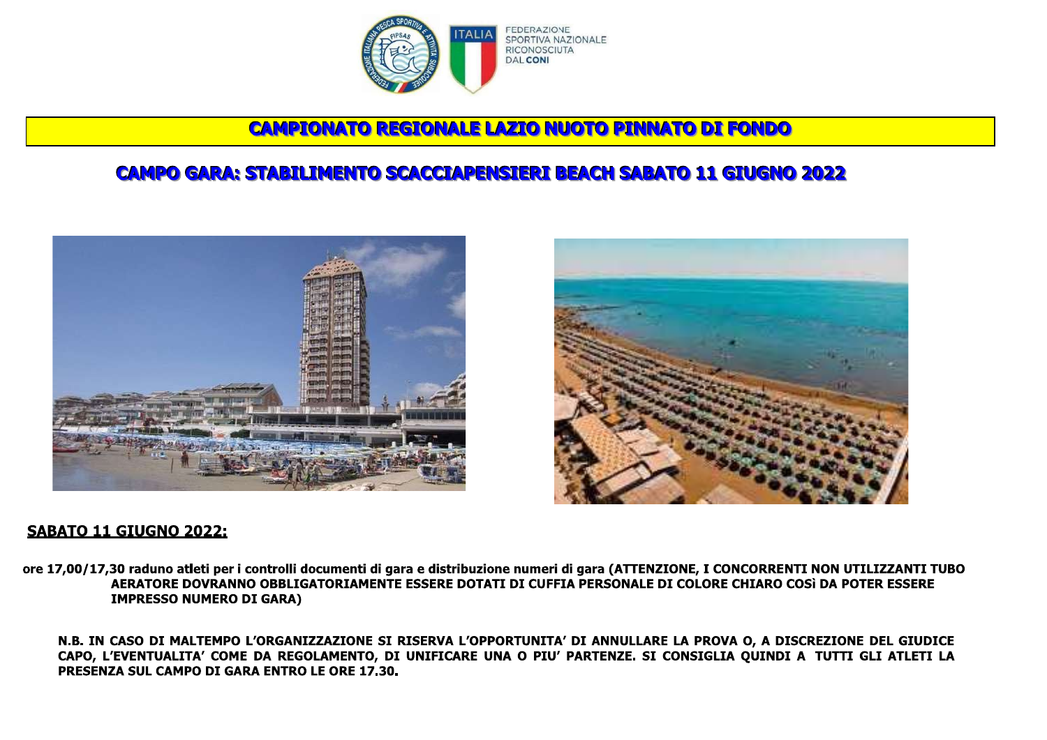

# **CAMPIONATO REGIONALE LAZIO NUOTO PINNATO DI FONDO**

# **CAMPO GARA: STABILIMENTO SCACCIAPENSIERI BEACH SABATO 11 GIUGNO 2022**





## SABATO 11 GIUGNO 2022:

ore 17,00/17,30 raduno atleti per i controlli documenti di gara e distribuzione numeri di gara (ATTENZIONE, I CONCORRENTI NON UTILIZZANTI TUBO AERATORE DOVRANNO OBBLIGATORIAMENTE ESSERE DOTATI DI CUFFIA PERSONALE DI COLORE CHIARO COSì DA POTER ESSERE **IMPRESSO NUMERO DI GARA)** 

N.B. IN CASO DI MALTEMPO L'ORGANIZZAZIONE SI RISERVA L'OPPORTUNITA' DI ANNULLARE LA PROVA O, A DISCREZIONE DEL GIUDICE CAPO, L'EVENTUALITA' COME DA REGOLAMENTO, DI UNIFICARE UNA O PIU' PARTENZE. SI CONSIGLIA QUINDI A TUTTI GLI ATLETI LA PRESENZA SUL CAMPO DI GARA ENTRO LE ORE 17.30.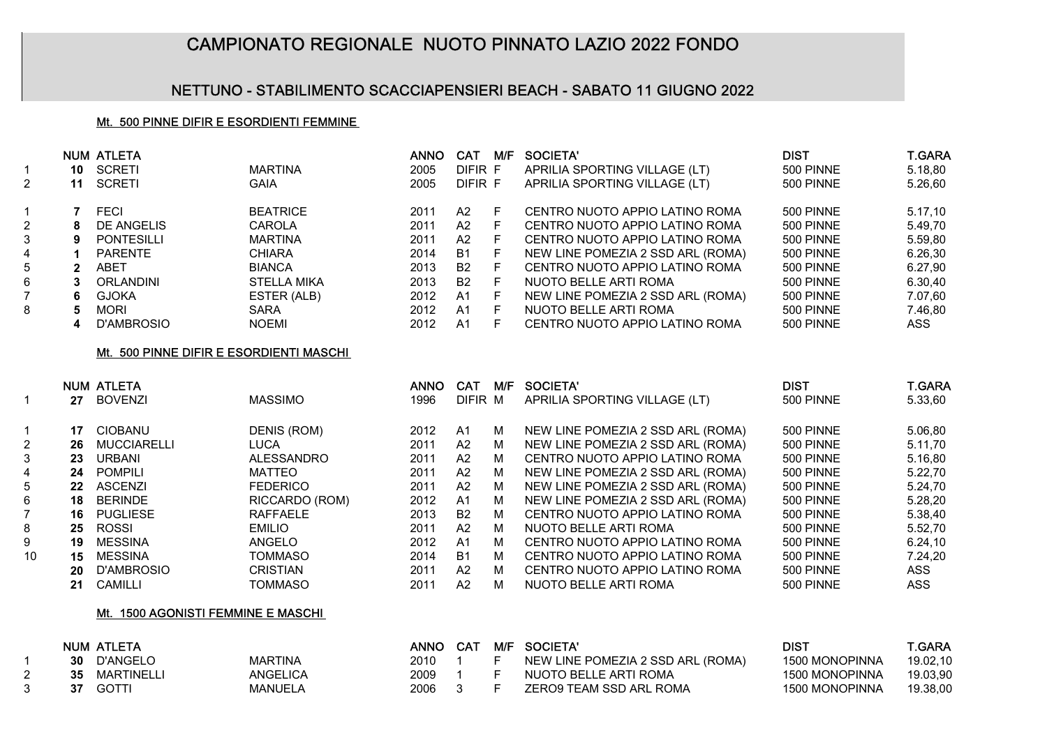## CAMPIONATO REGIONALE NUOTO PINNATO LAZIO 2022 FONDO

### NETTUNO - STABILIMENTO SCACCIAPENSIERI BEACH - SABATO 11 GIUGNO 2022

#### Mt. 500 PINNE DIFIR E ESORDIENTI FEMMINE

|                |    | <b>NUM ATLETA</b> |                    | <b>ANNO</b> | <b>CAT</b> | M/F | SOCIETA'                          | <b>DIST</b> | <b>T.GARA</b> |
|----------------|----|-------------------|--------------------|-------------|------------|-----|-----------------------------------|-------------|---------------|
|                | 10 | SCRETI            | <b>MARTINA</b>     | 2005        | DIFIR F    |     | APRILIA SPORTING VILLAGE (LT)     | 500 PINNE   | 5.18,80       |
| $2^{\circ}$    | 11 | <b>SCRETI</b>     | GAIA               | 2005        | DIFIR F    |     | APRILIA SPORTING VILLAGE (LT)     | 500 PINNE   | 5.26,60       |
|                |    | <b>FECI</b>       | <b>BEATRICE</b>    | 2011        | A2         | F.  | CENTRO NUOTO APPIO LATINO ROMA    | 500 PINNE   | 5.17,10       |
| $\overline{2}$ | 8  | DE ANGELIS        | CAROLA             | 2011        | A2         | F.  | CENTRO NUOTO APPIO LATINO ROMA    | 500 PINNE   | 5.49,70       |
| 3              | 9  | <b>PONTESILLI</b> | <b>MARTINA</b>     | 2011        | A2         | F.  | CENTRO NUOTO APPIO LATINO ROMA    | 500 PINNE   | 5.59,80       |
| 4              |    | <b>PARENTE</b>    | <b>CHIARA</b>      | 2014        | <b>B1</b>  | F.  | NEW LINE POMEZIA 2 SSD ARL (ROMA) | 500 PINNE   | 6.26,30       |
| 5              |    | ABET              | <b>BIANCA</b>      | 2013        | <b>B2</b>  | F.  | CENTRO NUOTO APPIO LATINO ROMA    | 500 PINNE   | 6.27,90       |
| 6              | 3  | ORLANDINI         | <b>STELLA MIKA</b> | 2013        | <b>B2</b>  | F   | NUOTO BELLE ARTI ROMA             | 500 PINNE   | 6.30,40       |
|                | 6  | GJOKA             | ESTER (ALB)        | 2012        | A1         | F.  | NEW LINE POMEZIA 2 SSD ARL (ROMA) | 500 PINNE   | 7.07.60       |
| 8              | 5  | <b>MORI</b>       | <b>SARA</b>        | 2012        | A1         | F.  | NUOTO BELLE ARTI ROMA             | 500 PINNE   | 7.46.80       |
|                | 4  | D'AMBROSIO        | <b>NOEMI</b>       | 2012        | Α1         | F.  | CENTRO NUOTO APPIO LATINO ROMA    | 500 PINNE   | ASS           |

#### Mt. 500 PINNE DIFIR E ESORDIENTI MASCHI

|    |    | <b>NUM ATLETA</b>  |                    | <b>ANNO</b> | <b>CAT</b>     | M/F | SOCIETA'                          | <b>DIST</b>      | <b>T.GARA</b> |
|----|----|--------------------|--------------------|-------------|----------------|-----|-----------------------------------|------------------|---------------|
|    | 27 | <b>BOVENZI</b>     | <b>MASSIMO</b>     | 1996        | DIFIR M        |     | APRILIA SPORTING VILLAGE (LT)     | 500 PINNE        | 5.33,60       |
|    | 17 | <b>CIOBANU</b>     | <b>DENIS (ROM)</b> | 2012        | A1             | м   | NEW LINE POMEZIA 2 SSD ARL (ROMA) | <b>500 PINNE</b> | 5.06,80       |
| 2  | 26 | <b>MUCCIARELLI</b> | <b>LUCA</b>        | 2011        | A2             | м   | NEW LINE POMEZIA 2 SSD ARL (ROMA) | <b>500 PINNE</b> | 5.11,70       |
|    | 23 | <b>URBANI</b>      | <b>ALESSANDRO</b>  | 2011        | A2             | м   | CENTRO NUOTO APPIO LATINO ROMA    | 500 PINNE        | 5.16,80       |
| 4  | 24 | <b>POMPILI</b>     | <b>MATTEO</b>      | 2011        | A2             | м   | NEW LINE POMEZIA 2 SSD ARL (ROMA) | 500 PINNE        | 5.22,70       |
| 5  | 22 | <b>ASCENZI</b>     | <b>FEDERICO</b>    | 2011        | A2             | м   | NEW LINE POMEZIA 2 SSD ARL (ROMA) | 500 PINNE        | 5.24.70       |
| 6  | 18 | <b>BERINDE</b>     | RICCARDO (ROM)     | 2012        | A <sub>1</sub> | М   | NEW LINE POMEZIA 2 SSD ARL (ROMA) | <b>500 PINNE</b> | 5.28,20       |
|    | 16 | <b>PUGLIESE</b>    | <b>RAFFAELE</b>    | 2013        | <b>B2</b>      | м   | CENTRO NUOTO APPIO LATINO ROMA    | 500 PINNE        | 5.38,40       |
| 8  | 25 | <b>ROSSI</b>       | <b>EMILIO</b>      | 2011        | A2             | м   | NUOTO BELLE ARTI ROMA             | 500 PINNE        | 5.52,70       |
| 9  | 19 | <b>MESSINA</b>     | ANGELO             | 2012        | A1             | м   | CENTRO NUOTO APPIO LATINO ROMA    | <b>500 PINNE</b> | 6.24,10       |
| 10 | 15 | <b>MESSINA</b>     | <b>TOMMASO</b>     | 2014        | <b>B1</b>      | М   | CENTRO NUOTO APPIO LATINO ROMA    | 500 PINNE        | 7.24.20       |
|    | 20 | D'AMBROSIO         | <b>CRISTIAN</b>    | 2011        | A2             | М   | CENTRO NUOTO APPIO LATINO ROMA    | 500 PINNE        | ASS           |
|    | 21 | CAMILLI            | <b>TOMMASO</b>     | 2011        | A2             | м   | NUOTO BELLE ARTI ROMA             | 500 PINNE        | <b>ASS</b>    |

#### Mt. 1500 AGONISTI FEMMINE E MASCHI

|    | <b>NUM ATLETA</b> |                | ANNO |          |         | CAT M/F SOCIETA'                  | DIS1           | T GARA   |
|----|-------------------|----------------|------|----------|---------|-----------------------------------|----------------|----------|
| 30 | D'ANGELO          | <b>MARTINA</b> | 2010 |          | F       | NEW LINE POMEZIA 2 SSD ARL (ROMA) | 1500 MONOPINNA | 19.02.10 |
| 35 | MARTINELLI        | ANGELICA       | 2009 |          | - F -   | NUOTO BELLE ARTI ROMA             | 1500 MONOPINNA | 19.03.90 |
| 37 | <b>GOTTI</b>      | <b>MANUELA</b> | 2006 | $\sim$ 3 | - F - 1 | ZERO9 TEAM SSD ARL ROMA           | 1500 MONOPINNA | 19.38.00 |